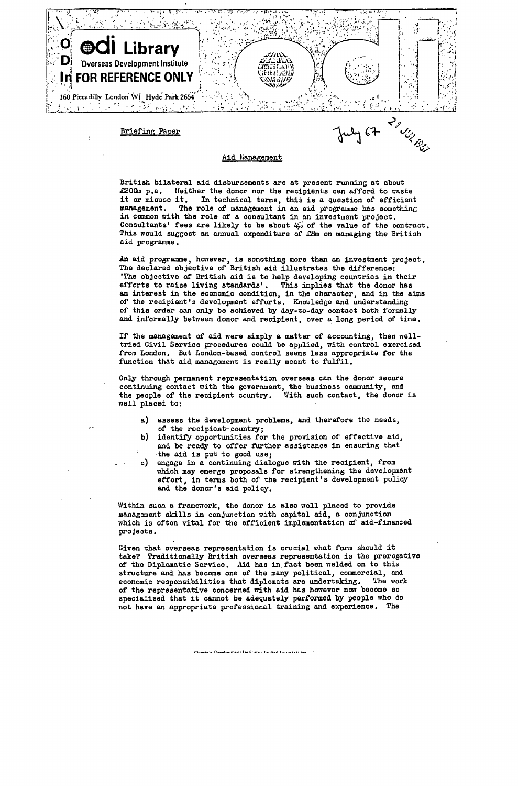

## Aid Management

British bilateral aid disbursements are at present running at about £200m p.a. Neither the donor nor the recipients can afford to waste it or misuse it. In technical terms, this is a question of efficient<br>management. The role of management in an aid programme has something The role of management in an aid programme has something in common with the role of a consultant in an investment project. Consultants' fees are likely to be about  $45$  of the value of the contract. This would suggest an annual expenditure of  $\mathcal{L}\mathcal{B}$ m on managing the British aid programme.

An aid programme, however, is sonothing more than on investment project. The declared objective of British aid illustrates the difference: 'The objective of British aid is to help developing countries in their efforts to raise living standards'. This implies that the donor has an interest in the economic condition, in the character, and in the aims of the recipient's development efforts. Knowledge and understanding of this order can only be achieved by day-to-day contact both formally and informally between donor and recipient, over a long period of time.

If the management of aid were simply a matter of accounting, then welltried Civil Service procedures could be applied, with control exercised from London. But London-based control seems less appropriate for the function that aid management is really meant to fulfil.

Only through permanent representation overseas can the donor secure continuing contact with the government, the business community, and the people of the recipient country. With such contact, the donor is well placed to:

- a) assess the development problems, and therefore the needs, of the recipient-country ;
- b) identify opportunities for the provision of effective aid, and be ready to offer further assistance in ensuring that the aid is put to good use;
- c) engage in a continuing dialogue with the recipient, from which may emerge proposals for strengthening the development effort, in terms both of the recipient's development policy and the donor's aid policy.

Within such a framework, the donor is also well placed to provide management skills in conjunction with capital aid, a conjunction which is often vital for the efficient implementation of aid-financed projects .

Given that overseas representation is crucial what form should it take? Traditionally British overseas representation is the prerogative of the Diplomatic Service. Aid has in fact been welded on to this structure and has become one of the many political, commercial, and economic responsibilities that diplomats are undertaking. The work economic responsibilities that diplomats are undertaking. of the representative concerned with aid has however now become so specialised that it cannot be adequately performed by people who do not have an appropriate professional training and experience. The

**ieas Develonment Institute . Ilmited by maranter**